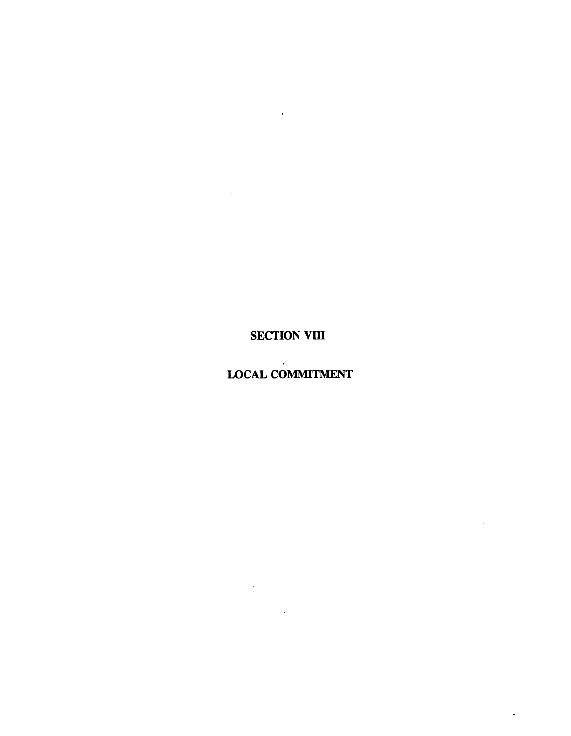## **SECTION VIII**

 $\mathcal{L}^{\text{max}}$ 

## $\sim 10^{-1}$ **LOCAL COMMITMENT**

 $\mathcal{L}^{\text{max}}_{\text{max}}$ 

l.

 $\ddot{\phantom{a}}$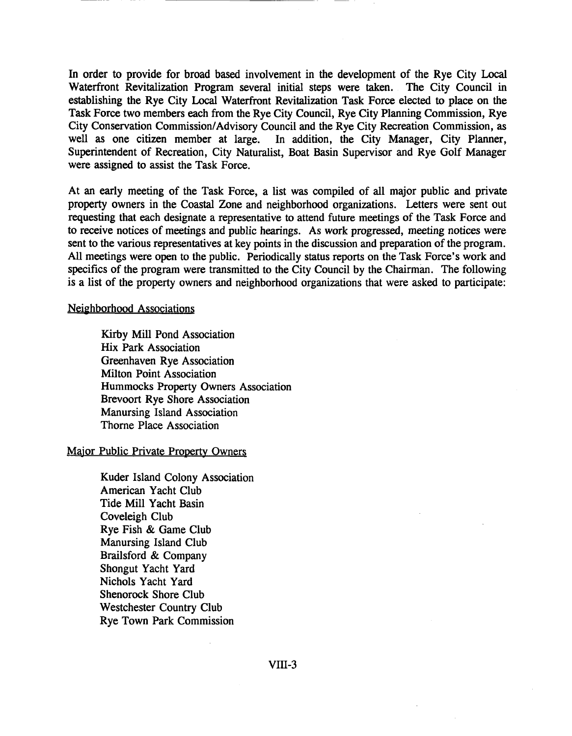In order to provide for broad based involvement in the development of the Rye City Local Waterfront Revitalization Program several initial steps were taken. The City Council in establishing the Rye City Local Waterfront Revitalization Task Force elected to place on the Task Force two members each from the Rye City Council, Rye City Planning Commission, Rye City Conservation Commission/Advisory Council and the Rye City Recreation Commission, as well as one citizen member at large. In addition, the City Manager, City Planner, Superintendent of Recreation, City Naturalist, Boat Basin Supervisor and Rye Golf Manager were assigned to assist the Task Force.

At an early meeting of the Task Force, a list was compiled of all major public and private property owners in the Coastal Zone and neighborhood organizations. Letters were sent out requesting that each designate a representative to attend future meetings of the Task Force and to receive notices of meetings and public hearings. As work progressed, meeting notices were sent to the various representatives at key points in the discussion and preparation of the program. All meetings were open to the public. Periodically status reports on the Task Force's work and specifics of the program were transmitted to the City Council by the Chairman. The following is a list of the property owners and neighborhood organizations that were asked to participate:

## Neighborhood Associations

Kirby Mill Pond Association Hix Park Association Greenhaven Rye Association Milton Point Association Hummocks Property Owners Association Brevoort Rye Shore Association Manursing Island Association Thorne Place Association

## Major Public Private Property Owners

Kuder Island Colony Association American Yacht Club Tide Mill Yacht Basin Coveleigh Club Rye Fish & Game Club Manursing Island Club Brailsford & Company Shongut Yacht Yard Nichols Yacht Yard Shenorock Shore Club Westchester Country Club Rye Town Park Commission